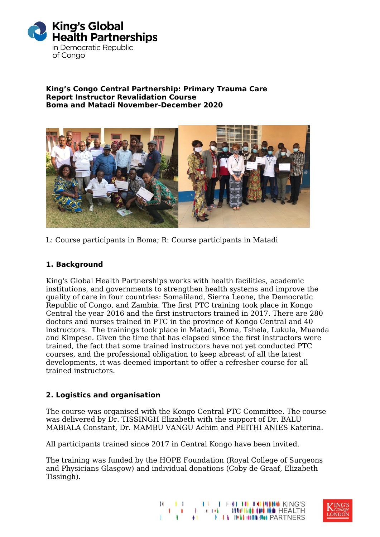

#### **King's Congo Central Partnership: Primary Trauma Care Report Instructor Revalidation Course Boma and Matadi November-December 2020**



L: Course participants in Boma; R: Course participants in Matadi

## **1. Background**

King's Global Health Partnerships works with health facilities, academic institutions, and governments to strengthen health systems and improve the quality of care in four countries: Somaliland, Sierra Leone, the Democratic Republic of Congo, and Zambia. The first PTC training took place in Kongo Central the year 2016 and the first instructors trained in 2017. There are 280 doctors and nurses trained in PTC in the province of Kongo Central and 40 instructors. The trainings took place in Matadi, Boma, Tshela, Lukula, Muanda and Kimpese. Given the time that has elapsed since the first instructors were trained, the fact that some trained instructors have not yet conducted PTC courses, and the professional obligation to keep abreast of all the latest developments, it was deemed important to offer a refresher course for all trained instructors.

## **2. Logistics and organisation**

The course was organised with the Kongo Central PTC Committee. The course was delivered by Dr. TISSINGH Elizabeth with the support of Dr. BALU MABIALA Constant, Dr. MAMBU VANGU Achim and PEITHI ANIES Katerina.

All participants trained since 2017 in Central Kongo have been invited.

The training was funded by the HOPE Foundation (Royal College of Surgeons and Physicians Glasgow) and individual donations (Coby de Graaf, Elizabeth Tissingh).



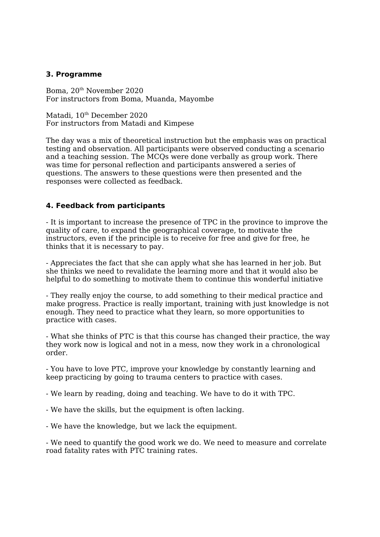#### **3. Programme**

Boma, 20th November 2020 For instructors from Boma, Muanda, Mayombe

Matadi, 10<sup>th</sup> December 2020 For instructors from Matadi and Kimpese

The day was a mix of theoretical instruction but the emphasis was on practical testing and observation. All participants were observed conducting a scenario and a teaching session. The MCQs were done verbally as group work. There was time for personal reflection and participants answered a series of questions. The answers to these questions were then presented and the responses were collected as feedback.

### **4. Feedback from participants**

- It is important to increase the presence of TPC in the province to improve the quality of care, to expand the geographical coverage, to motivate the instructors, even if the principle is to receive for free and give for free, he thinks that it is necessary to pay.

- Appreciates the fact that she can apply what she has learned in her job. But she thinks we need to revalidate the learning more and that it would also be helpful to do something to motivate them to continue this wonderful initiative

- They really enjoy the course, to add something to their medical practice and make progress. Practice is really important, training with just knowledge is not enough. They need to practice what they learn, so more opportunities to practice with cases.

- What she thinks of PTC is that this course has changed their practice, the way they work now is logical and not in a mess, now they work in a chronological order.

- You have to love PTC, improve your knowledge by constantly learning and keep practicing by going to trauma centers to practice with cases.

- We learn by reading, doing and teaching. We have to do it with TPC.

- We have the skills, but the equipment is often lacking.

- We have the knowledge, but we lack the equipment.

- We need to quantify the good work we do. We need to measure and correlate road fatality rates with PTC training rates.